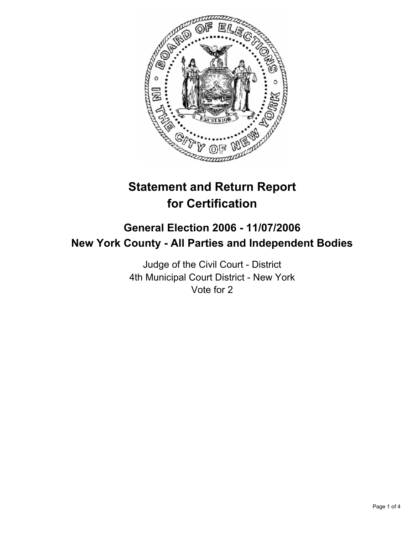

# **Statement and Return Report for Certification**

## **General Election 2006 - 11/07/2006 New York County - All Parties and Independent Bodies**

Judge of the Civil Court - District 4th Municipal Court District - New York Vote for 2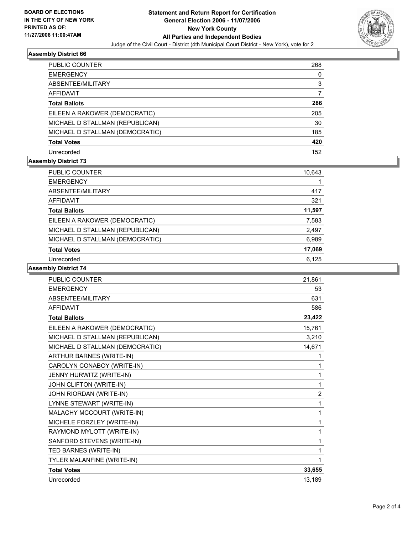

#### **Assembly District 66**

| PUBLIC COUNTER                  | 268 |
|---------------------------------|-----|
| <b>EMERGENCY</b>                | O)  |
| ABSENTEE/MILITARY               | 3   |
| AFFIDAVIT                       |     |
| <b>Total Ballots</b>            | 286 |
| EILEEN A RAKOWER (DEMOCRATIC)   | 205 |
| MICHAEL D STALLMAN (REPUBLICAN) | 30  |
| MICHAEL D STALLMAN (DEMOCRATIC) | 185 |
| <b>Total Votes</b>              | 420 |
| Unrecorded                      | 152 |

#### **Assembly District 73**

| PUBLIC COUNTER                  | 10,643 |
|---------------------------------|--------|
| <b>EMERGENCY</b>                |        |
| ABSENTEE/MILITARY               | 417    |
| AFFIDAVIT                       | 321    |
| <b>Total Ballots</b>            | 11,597 |
| EILEEN A RAKOWER (DEMOCRATIC)   | 7,583  |
| MICHAEL D STALLMAN (REPUBLICAN) | 2,497  |
| MICHAEL D STALLMAN (DEMOCRATIC) | 6,989  |
| <b>Total Votes</b>              | 17,069 |
| Unrecorded                      | 6.125  |

#### **Assembly District 74**

| PUBLIC COUNTER                  | 21,861 |
|---------------------------------|--------|
| <b>EMERGENCY</b>                | 53     |
| ABSENTEE/MILITARY               | 631    |
| <b>AFFIDAVIT</b>                | 586    |
| <b>Total Ballots</b>            | 23,422 |
| EILEEN A RAKOWER (DEMOCRATIC)   | 15,761 |
| MICHAEL D STALLMAN (REPUBLICAN) | 3,210  |
| MICHAEL D STALLMAN (DEMOCRATIC) | 14,671 |
| <b>ARTHUR BARNES (WRITE-IN)</b> |        |
| CAROLYN CONABOY (WRITE-IN)      |        |
| JENNY HURWITZ (WRITE-IN)        |        |
| JOHN CLIFTON (WRITE-IN)         | 1      |
| JOHN RIORDAN (WRITE-IN)         | 2      |
| LYNNE STEWART (WRITE-IN)        | 1      |
| MALACHY MCCOURT (WRITE-IN)      | 1      |
| MICHELE FORZLEY (WRITE-IN)      | 1      |
| RAYMOND MYLOTT (WRITE-IN)       |        |
| SANFORD STEVENS (WRITE-IN)      |        |
| TED BARNES (WRITE-IN)           |        |
| TYLER MALANFINE (WRITE-IN)      |        |
| <b>Total Votes</b>              | 33,655 |
| Unrecorded                      | 13,189 |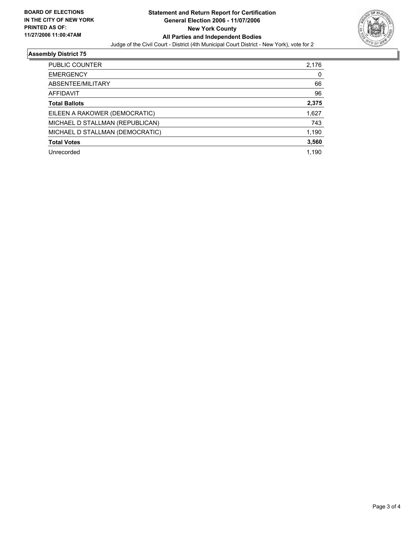

### **Assembly District 75**

| PUBLIC COUNTER                  | 2,176 |
|---------------------------------|-------|
| <b>EMERGENCY</b>                | 0     |
| ABSENTEE/MILITARY               | 66    |
| AFFIDAVIT                       | 96    |
| <b>Total Ballots</b>            | 2,375 |
| EILEEN A RAKOWER (DEMOCRATIC)   | 1,627 |
| MICHAEL D STALLMAN (REPUBLICAN) | 743   |
| MICHAEL D STALLMAN (DEMOCRATIC) | 1,190 |
| <b>Total Votes</b>              | 3,560 |
| Unrecorded                      | 1,190 |
|                                 |       |